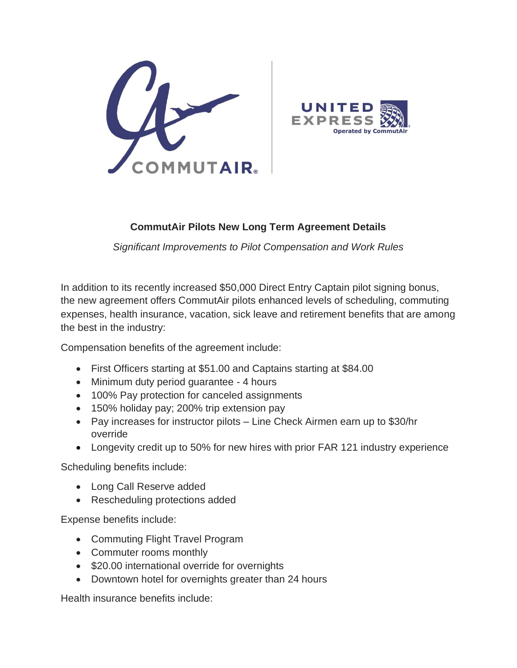



## **CommutAir Pilots New Long Term Agreement Details**

*Significant Improvements to Pilot Compensation and Work Rules*

In addition to its recently increased \$50,000 Direct Entry Captain pilot signing bonus, the new agreement offers CommutAir pilots enhanced levels of scheduling, commuting expenses, health insurance, vacation, sick leave and retirement benefits that are among the best in the industry:

Compensation benefits of the agreement include:

- First Officers starting at \$51.00 and Captains starting at \$84.00
- Minimum duty period guarantee 4 hours
- 100% Pay protection for canceled assignments
- 150% holiday pay; 200% trip extension pay
- Pay increases for instructor pilots Line Check Airmen earn up to \$30/hr override
- Longevity credit up to 50% for new hires with prior FAR 121 industry experience

Scheduling benefits include:

- Long Call Reserve added
- Rescheduling protections added

Expense benefits include:

- Commuting Flight Travel Program
- Commuter rooms monthly
- \$20.00 international override for overnights
- Downtown hotel for overnights greater than 24 hours

Health insurance benefits include: